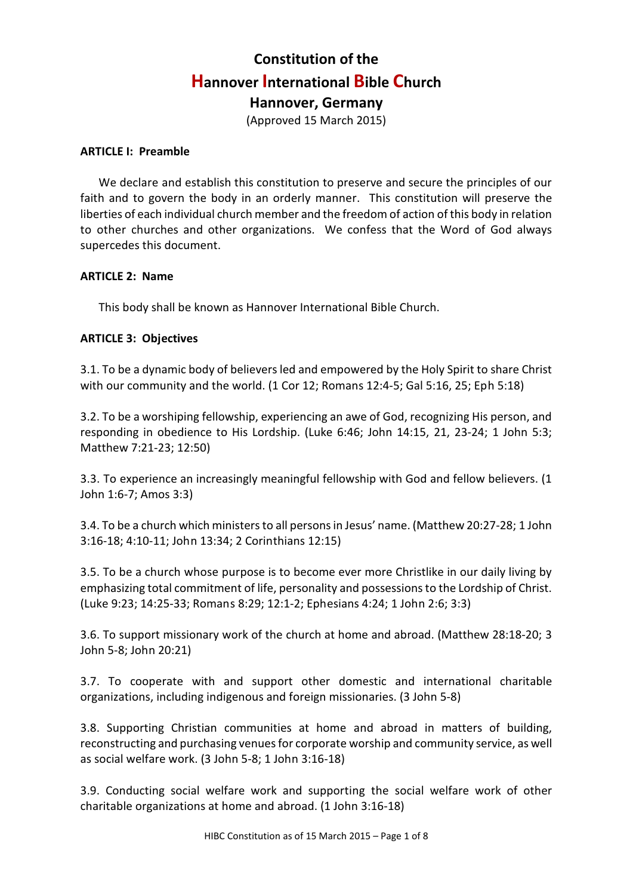# **Constitution of the Hannover International Bible Church Hannover, Germany**

(Approved 15 March 2015)

### **ARTICLE I: Preamble**

We declare and establish this constitution to preserve and secure the principles of our faith and to govern the body in an orderly manner. This constitution will preserve the liberties of each individual church member and the freedom of action of this body in relation to other churches and other organizations. We confess that the Word of God always supercedes this document.

### **ARTICLE 2: Name**

This body shall be known as Hannover International Bible Church.

### **ARTICLE 3: Objectives**

3.1. To be a dynamic body of believers led and empowered by the Holy Spirit to share Christ with our community and the world. (1 Cor 12; Romans 12:4-5; Gal 5:16, 25; Eph 5:18)

3.2. To be a worshiping fellowship, experiencing an awe of God, recognizing His person, and responding in obedience to His Lordship. (Luke 6:46; John 14:15, 21, 23-24; 1 John 5:3; Matthew 7:21-23; 12:50)

3.3. To experience an increasingly meaningful fellowship with God and fellow believers. (1 John 1:6-7; Amos 3:3)

3.4. To be a church which ministers to all persons in Jesus' name. (Matthew 20:27-28; 1 John 3:16-18; 4:10-11; John 13:34; 2 Corinthians 12:15)

3.5. To be a church whose purpose is to become ever more Christlike in our daily living by emphasizing total commitment of life, personality and possessions to the Lordship of Christ. (Luke 9:23; 14:25-33; Romans 8:29; 12:1-2; Ephesians 4:24; 1 John 2:6; 3:3)

3.6. To support missionary work of the church at home and abroad. (Matthew 28:18-20; 3 John 5-8; John 20:21)

3.7. To cooperate with and support other domestic and international charitable organizations, including indigenous and foreign missionaries. (3 John 5-8)

3.8. Supporting Christian communities at home and abroad in matters of building, reconstructing and purchasing venues for corporate worship and community service, as well as social welfare work. (3 John 5-8; 1 John 3:16-18)

3.9. Conducting social welfare work and supporting the social welfare work of other charitable organizations at home and abroad. (1 John 3:16-18)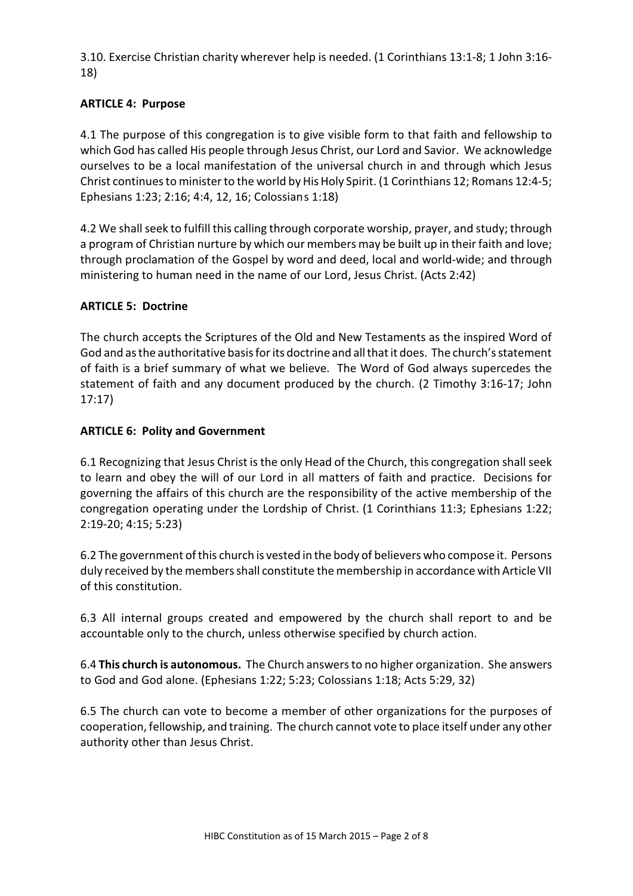3.10. Exercise Christian charity wherever help is needed. (1 Corinthians 13:1-8; 1 John 3:16- 18)

# **ARTICLE 4: Purpose**

4.1 The purpose of this congregation is to give visible form to that faith and fellowship to which God has called His people through Jesus Christ, our Lord and Savior. We acknowledge ourselves to be a local manifestation of the universal church in and through which Jesus Christ continues to minister to the world by His Holy Spirit. (1 Corinthians 12; Romans 12:4-5; Ephesians 1:23; 2:16; 4:4, 12, 16; Colossians 1:18)

4.2 We shall seek to fulfill this calling through corporate worship, prayer, and study; through a program of Christian nurture by which our members may be built up in their faith and love; through proclamation of the Gospel by word and deed, local and world-wide; and through ministering to human need in the name of our Lord, Jesus Christ. (Acts 2:42)

### **ARTICLE 5: Doctrine**

The church accepts the Scriptures of the Old and New Testaments as the inspired Word of God and as the authoritative basis for its doctrine and all thatit does. The church's statement of faith is a brief summary of what we believe. The Word of God always supercedes the statement of faith and any document produced by the church. (2 Timothy 3:16-17; John 17:17)

### **ARTICLE 6: Polity and Government**

6.1 Recognizing that Jesus Christ is the only Head of the Church, this congregation shall seek to learn and obey the will of our Lord in all matters of faith and practice. Decisions for governing the affairs of this church are the responsibility of the active membership of the congregation operating under the Lordship of Christ. (1 Corinthians 11:3; Ephesians 1:22; 2:19-20; 4:15; 5:23)

6.2 The government ofthis church is vested in the body of believers who compose it. Persons duly received by the members shall constitute the membership in accordance with Article VII of this constitution.

6.3 All internal groups created and empowered by the church shall report to and be accountable only to the church, unless otherwise specified by church action.

6.4 **This church is autonomous.** The Church answers to no higher organization. She answers to God and God alone. (Ephesians 1:22; 5:23; Colossians 1:18; Acts 5:29, 32)

6.5 The church can vote to become a member of other organizations for the purposes of cooperation, fellowship, and training. The church cannot vote to place itself under any other authority other than Jesus Christ.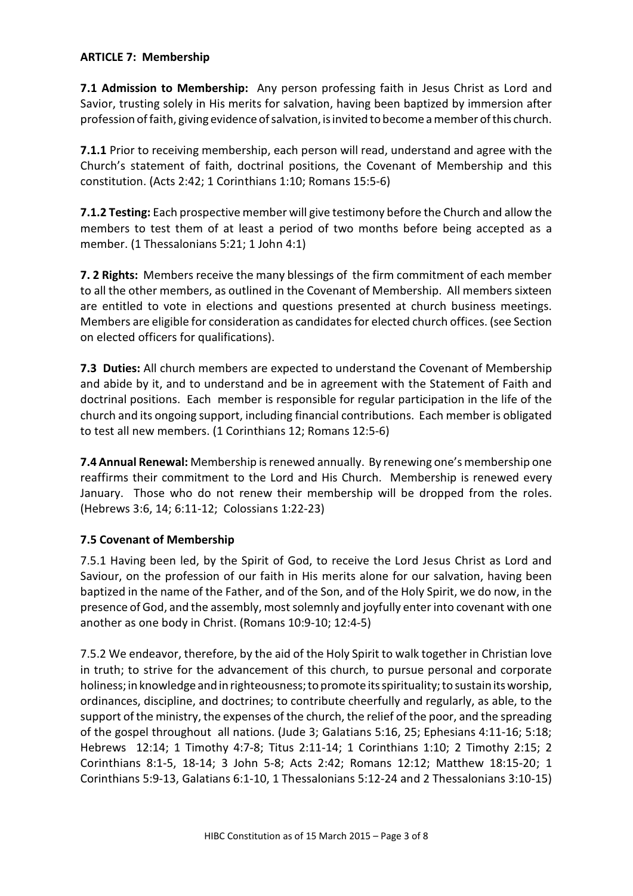### **ARTICLE 7: Membership**

**7.1 Admission to Membership:** Any person professing faith in Jesus Christ as Lord and Savior, trusting solely in His merits for salvation, having been baptized by immersion after profession offaith, giving evidence ofsalvation, is invited to become a member ofthis church.

**7.1.1** Prior to receiving membership, each person will read, understand and agree with the Church's statement of faith, doctrinal positions, the Covenant of Membership and this constitution. (Acts 2:42; 1 Corinthians 1:10; Romans 15:5-6)

**7.1.2 Testing:** Each prospective member will give testimony before the Church and allow the members to test them of at least a period of two months before being accepted as a member. (1 Thessalonians 5:21; 1 John 4:1)

**7. 2 Rights:** Members receive the many blessings of the firm commitment of each member to all the other members, as outlined in the Covenant of Membership. All members sixteen are entitled to vote in elections and questions presented at church business meetings. Members are eligible for consideration as candidates for elected church offices. (see Section on elected officers for qualifications).

**7.3 Duties:** All church members are expected to understand the Covenant of Membership and abide by it, and to understand and be in agreement with the Statement of Faith and doctrinal positions. Each member is responsible for regular participation in the life of the church and its ongoing support, including financial contributions. Each member is obligated to test all new members. (1 Corinthians 12; Romans 12:5-6)

**7.4 Annual Renewal:** Membership is renewed annually. By renewing one's membership one reaffirms their commitment to the Lord and His Church. Membership is renewed every January. Those who do not renew their membership will be dropped from the roles. (Hebrews 3:6, 14; 6:11-12; Colossians 1:22-23)

### **7.5 Covenant of Membership**

7.5.1 Having been led, by the Spirit of God, to receive the Lord Jesus Christ as Lord and Saviour, on the profession of our faith in His merits alone for our salvation, having been baptized in the name of the Father, and of the Son, and of the Holy Spirit, we do now, in the presence of God, and the assembly, mostsolemnly and joyfully enter into covenant with one another as one body in Christ. (Romans 10:9-10; 12:4-5)

7.5.2 We endeavor, therefore, by the aid of the Holy Spirit to walk together in Christian love in truth; to strive for the advancement of this church, to pursue personal and corporate holiness; in knowledge and in righteousness; to promote its spirituality; to sustain its worship, ordinances, discipline, and doctrines; to contribute cheerfully and regularly, as able, to the support of the ministry, the expenses of the church, the relief of the poor, and the spreading of the gospel throughout all nations. (Jude 3; Galatians 5:16, 25; Ephesians 4:11-16; 5:18; Hebrews 12:14; 1 Timothy 4:7-8; Titus 2:11-14; 1 Corinthians 1:10; 2 Timothy 2:15; 2 Corinthians 8:1-5, 18-14; 3 John 5-8; Acts 2:42; Romans 12:12; Matthew 18:15-20; 1 Corinthians 5:9-13, Galatians 6:1-10, 1 Thessalonians 5:12-24 and 2 Thessalonians 3:10-15)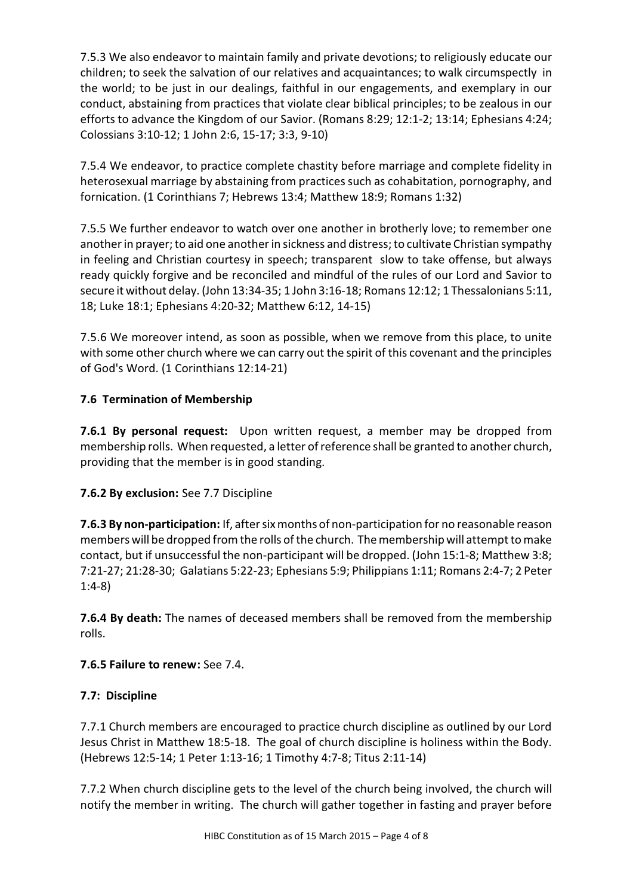7.5.3 We also endeavor to maintain family and private devotions; to religiously educate our children; to seek the salvation of our relatives and acquaintances; to walk circumspectly in the world; to be just in our dealings, faithful in our engagements, and exemplary in our conduct, abstaining from practices that violate clear biblical principles; to be zealous in our efforts to advance the Kingdom of our Savior. (Romans 8:29; 12:1-2; 13:14; Ephesians 4:24; Colossians 3:10-12; 1 John 2:6, 15-17; 3:3, 9-10)

7.5.4 We endeavor, to practice complete chastity before marriage and complete fidelity in heterosexual marriage by abstaining from practices such as cohabitation, pornography, and fornication. (1 Corinthians 7; Hebrews 13:4; Matthew 18:9; Romans 1:32)

7.5.5 We further endeavor to watch over one another in brotherly love; to remember one another in prayer; to aid one another in sickness and distress; to cultivate Christian sympathy in feeling and Christian courtesy in speech; transparent slow to take offense, but always ready quickly forgive and be reconciled and mindful of the rules of our Lord and Savior to secure it without delay. (John 13:34-35; 1 John 3:16-18; Romans 12:12; 1 Thessalonians 5:11, 18; Luke 18:1; Ephesians 4:20-32; Matthew 6:12, 14-15)

7.5.6 We moreover intend, as soon as possible, when we remove from this place, to unite with some other church where we can carry out the spirit of this covenant and the principles of God's Word. (1 Corinthians 12:14-21)

# **7.6 Termination of Membership**

**7.6.1 By personal request:** Upon written request, a member may be dropped from membership rolls. When requested, a letter of reference shall be granted to another church, providing that the member is in good standing.

# **7.6.2 By exclusion:** See 7.7 Discipline

**7.6.3 By non-participation:** If, after six months of non-participation for no reasonable reason members will be dropped from the rolls of the church. The membership will attempt to make contact, but if unsuccessful the non-participant will be dropped. (John 15:1-8; Matthew 3:8; 7:21-27; 21:28-30; Galatians 5:22-23; Ephesians 5:9; Philippians 1:11; Romans 2:4-7; 2 Peter 1:4-8)

**7.6.4 By death:** The names of deceased members shall be removed from the membership rolls.

# **7.6.5 Failure to renew:** See 7.4.

# **7.7: Discipline**

7.7.1 Church members are encouraged to practice church discipline as outlined by our Lord Jesus Christ in Matthew 18:5-18. The goal of church discipline is holiness within the Body. (Hebrews 12:5-14; 1 Peter 1:13-16; 1 Timothy 4:7-8; Titus 2:11-14)

7.7.2 When church discipline gets to the level of the church being involved, the church will notify the member in writing. The church will gather together in fasting and prayer before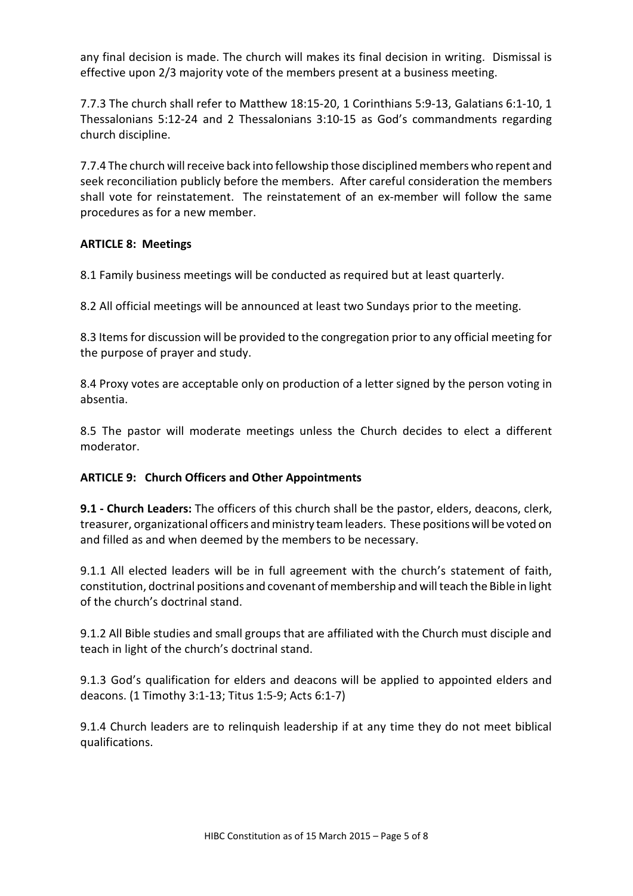any final decision is made. The church will makes its final decision in writing. Dismissal is effective upon 2/3 majority vote of the members present at a business meeting.

7.7.3 The church shall refer to Matthew 18:15-20, 1 Corinthians 5:9-13, Galatians 6:1-10, 1 Thessalonians 5:12-24 and 2 Thessalonians 3:10-15 as God's commandments regarding church discipline.

7.7.4 The church will receive back into fellowship those disciplined members who repent and seek reconciliation publicly before the members. After careful consideration the members shall vote for reinstatement. The reinstatement of an ex-member will follow the same procedures as for a new member.

### **ARTICLE 8: Meetings**

8.1 Family business meetings will be conducted as required but at least quarterly.

8.2 All official meetings will be announced at least two Sundays prior to the meeting.

8.3 Items for discussion will be provided to the congregation prior to any official meeting for the purpose of prayer and study.

8.4 Proxy votes are acceptable only on production of a letter signed by the person voting in absentia.

8.5 The pastor will moderate meetings unless the Church decides to elect a different moderator.

### **ARTICLE 9: Church Officers and Other Appointments**

**9.1 - Church Leaders:** The officers of this church shall be the pastor, elders, deacons, clerk, treasurer, organizational officers andministry team leaders. These positions will be voted on and filled as and when deemed by the members to be necessary.

9.1.1 All elected leaders will be in full agreement with the church's statement of faith, constitution, doctrinal positions and covenant ofmembership and will teach the Bible in light of the church's doctrinal stand.

9.1.2 All Bible studies and small groups that are affiliated with the Church must disciple and teach in light of the church's doctrinal stand.

9.1.3 God's qualification for elders and deacons will be applied to appointed elders and deacons. (1 Timothy 3:1-13; Titus 1:5-9; Acts 6:1-7)

9.1.4 Church leaders are to relinquish leadership if at any time they do not meet biblical qualifications.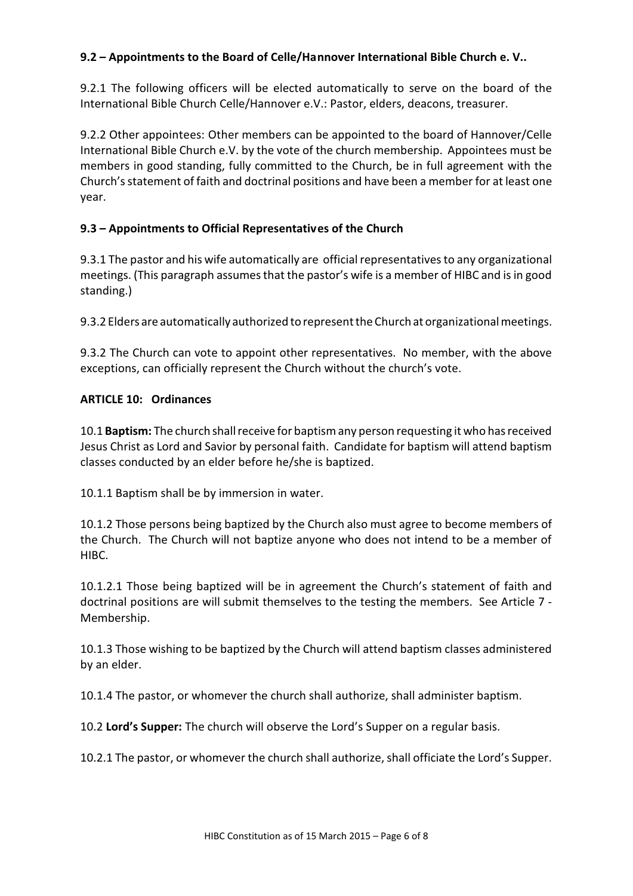### **9.2 – Appointments to the Board of Celle/Hannover International Bible Church e. V..**

9.2.1 The following officers will be elected automatically to serve on the board of the International Bible Church Celle/Hannover e.V.: Pastor, elders, deacons, treasurer.

9.2.2 Other appointees: Other members can be appointed to the board of Hannover/Celle International Bible Church e.V. by the vote of the church membership. Appointees must be members in good standing, fully committed to the Church, be in full agreement with the Church's statement of faith and doctrinal positions and have been a member for at least one year.

### **9.3 – Appointments to Official Representatives of the Church**

9.3.1 The pastor and his wife automatically are official representatives to any organizational meetings. (This paragraph assumes that the pastor's wife is a member of HIBC and is in good standing.)

9.3.2 Elders are automatically authorized to representthe Churchat organizational meetings.

9.3.2 The Church can vote to appoint other representatives. No member, with the above exceptions, can officially represent the Church without the church's vote.

### **ARTICLE 10: Ordinances**

10.1 **Baptism:** The church shall receive for baptism any person requesting it who has received Jesus Christ as Lord and Savior by personal faith. Candidate for baptism will attend baptism classes conducted by an elder before he/she is baptized.

10.1.1 Baptism shall be by immersion in water.

10.1.2 Those persons being baptized by the Church also must agree to become members of the Church. The Church will not baptize anyone who does not intend to be a member of HIBC.

10.1.2.1 Those being baptized will be in agreement the Church's statement of faith and doctrinal positions are will submit themselves to the testing the members. See Article 7 - Membership.

10.1.3 Those wishing to be baptized by the Church will attend baptism classes administered by an elder.

10.1.4 The pastor, or whomever the church shall authorize, shall administer baptism.

10.2 **Lord's Supper:** The church will observe the Lord's Supper on a regular basis.

10.2.1 The pastor, or whomever the church shall authorize, shall officiate the Lord's Supper.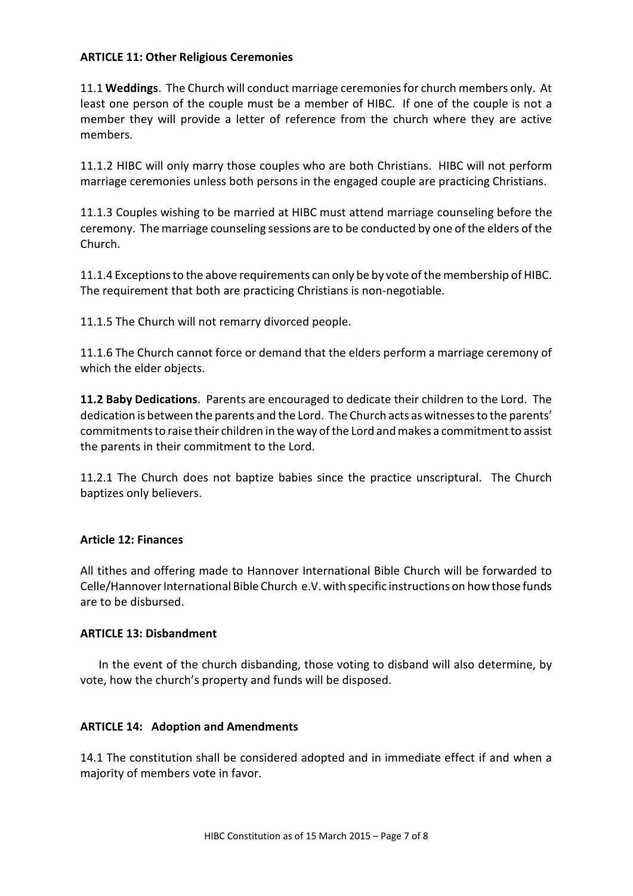### **ARTICLE 11: Other Religious Ceremonies**

11.1 **Weddings**. The Church will conduct marriage ceremonies for church members only. At least one person of the couple must be a member of HIBC. If one of the couple is not a member they will provide a letter of reference from the church where they are active members.

11.1.2 HIBC will only marry those couples who are both Christians. HIBC will not perform marriage ceremonies unless both persons in the engaged couple are practicing Christians.

11.1.3 Couples wishing to be married at HIBC must attend marriage counseling before the ceremony. The marriage counseling sessions are to be conducted by one of the elders of the Church.

11.1.4 Exceptions to the above requirements can only be by vote of the membership of HIBC. The requirement that both are practicing Christians is non-negotiable.

11.1.5 The Church will not remarry divorced people.

11.1.6 The Church cannot force or demand that the elders perform a marriage ceremony of which the elder objects.

**11.2 Baby Dedications**. Parents are encouraged to dedicate their children to the Lord. The dedication is between the parents and the Lord. The Church acts as witnesses to the parents' commitmentsto raise their children in the way ofthe Lord and makes a commitmentto assist the parents in their commitment to the Lord.

11.2.1 The Church does not baptize babies since the practice unscriptural. The Church baptizes only believers.

### **Article 12: Finances**

All tithes and offering made to Hannover International Bible Church will be forwarded to Celle/Hannover International Bible Church e.V. with specific instructions on howthose funds are to be disbursed.

### **ARTICLE 13: Disbandment**

In the event of the church disbanding, those voting to disband will also determine, by vote, how the church's property and funds will be disposed.

### **ARTICLE 14: Adoption and Amendments**

14.1 The constitution shall be considered adopted and in immediate effect if and when a majority of members vote in favor.